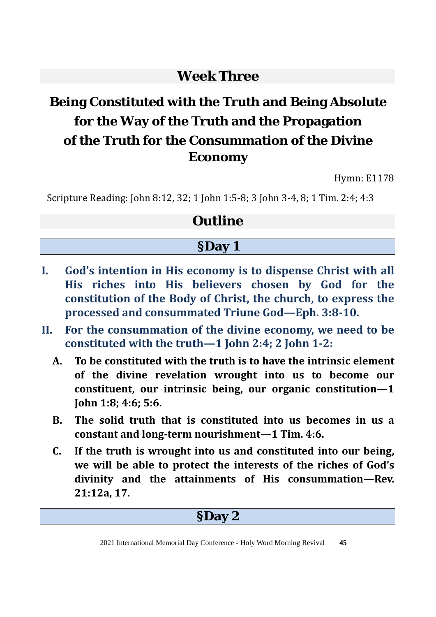### **Week Three**

# **Being Constituted with the Truth and Being Absolute for the Way of the Truth and the Propagation of the Truth for the Consummation of the Divine Economy**

Hymn: E1178

Scripture Reading: John 8:12, 32; 1 John 1:5-8; 3 John 3-4, 8; 1 Tim. 2:4; 4:3

### **Outline**

#### **§Day 1**

- **I. God's intention in His economy is to dispense Christ with all His riches into His believers chosen by God for the constitution of the Body of Christ, the church, to express the processed and consummated Triune God—Eph. 3:8-10.**
- **II. For the consummation of the divine economy, we need to be constituted with the truth—1 John 2:4; 2 John 1-2:** 
	- **A. To be constituted with the truth is to have the intrinsic element of the divine revelation wrought into us to become our constituent, our intrinsic being, our organic constitution—1 John 1:8; 4:6; 5:6.**
	- **B. The solid truth that is constituted into us becomes in us a constant and long-term nourishment—1 Tim. 4:6.**
	- **C. If the truth is wrought into us and constituted into our being, we will be able to protect the interests of the riches of God's divinity and the attainments of His consummation—Rev. 21:12a, 17.**

#### **§Day 2**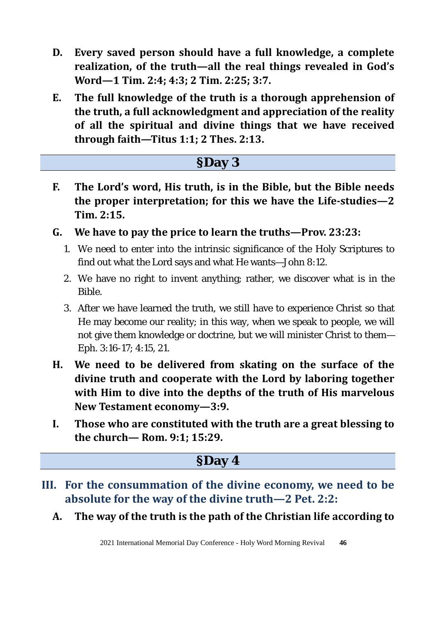- **D. Every saved person should have a full knowledge, a complete realization, of the truth—all the real things revealed in God's Word—1 Tim. 2:4; 4:3; 2 Tim. 2:25; 3:7.**
- **E. The full knowledge of the truth is a thorough apprehension of the truth, a full acknowledgment and appreciation of the reality of all the spiritual and divine things that we have received through faith—Titus 1:1; 2 Thes. 2:13.**

### **§Day 3**

- **F. The Lord's word, His truth, is in the Bible, but the Bible needs the proper interpretation; for this we have the Life-studies—2 Tim. 2:15.**
- **G. We have to pay the price to learn the truths—Prov. 23:23:** 
	- 1. We need to enter into the intrinsic significance of the Holy Scriptures to find out what the Lord says and what He wants—John 8:12.
	- 2. We have no right to invent anything; rather, we discover what is in the Bible.
	- 3. After we have learned the truth, we still have to experience Christ so that He may become our reality; in this way, when we speak to people, we will not give them knowledge or doctrine, but we will minister Christ to them— Eph. 3:16-17; 4:15, 21.
- **H. We need to be delivered from skating on the surface of the divine truth and cooperate with the Lord by laboring together with Him to dive into the depths of the truth of His marvelous New Testament economy—3:9.**
- **I. Those who are constituted with the truth are a great blessing to the church— Rom. 9:1; 15:29.**

#### **§Day 4**

- **III. For the consummation of the divine economy, we need to be absolute for the way of the divine truth—2 Pet. 2:2:**
	- **A. The way of the truth is the path of the Christian life according to**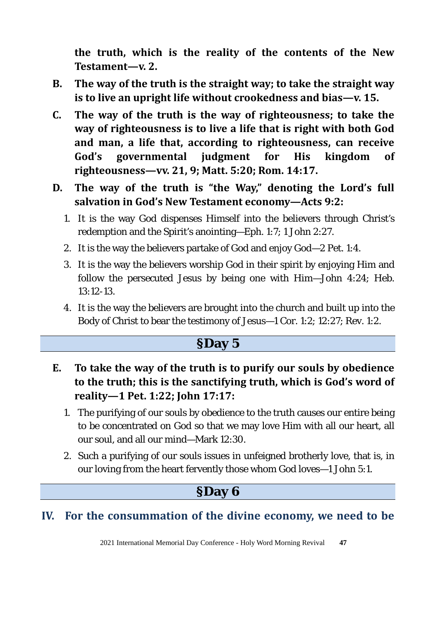**the truth, which is the reality of the contents of the New Testament—v. 2.** 

- **B. The way of the truth is the straight way; to take the straight way is to live an upright life without crookedness and bias—v. 15.**
- **C. The way of the truth is the way of righteousness; to take the way of righteousness is to live a life that is right with both God and man, a life that, according to righteousness, can receive God's governmental judgment for His kingdom of righteousness—vv. 21, 9; Matt. 5:20; Rom. 14:17.**
- **D. The way of the truth is "the Way," denoting the Lord's full salvation in God's New Testament economy—Acts 9:2:** 
	- 1. It is the way God dispenses Himself into the believers through Christ's redemption and the Spirit's anointing—Eph. 1:7; 1 John 2:27.
	- 2. It is the way the believers partake of God and enjoy God—2 Pet. 1:4.
	- 3. It is the way the believers worship God in their spirit by enjoying Him and follow the persecuted Jesus by being one with Him—John 4:24; Heb. 13:12-13.
	- 4. It is the way the believers are brought into the church and built up into the Body of Christ to bear the testimony of Jesus—1 Cor. 1:2; 12:27; Rev. 1:2.

### **§Day 5**

- **E. To take the way of the truth is to purify our souls by obedience to the truth; this is the sanctifying truth, which is God's word of reality—1 Pet. 1:22; John 17:17:** 
	- 1. The purifying of our souls by obedience to the truth causes our entire being to be concentrated on God so that we may love Him with all our heart, all our soul, and all our mind—Mark 12:30.
	- 2. Such a purifying of our souls issues in unfeigned brotherly love, that is, in our loving from the heart fervently those whom God loves—1 John 5:1.

# **§Day 6**

#### **IV. For the consummation of the divine economy, we need to be**

2021 International Memorial Day Conference - Holy Word Morning Revival **47**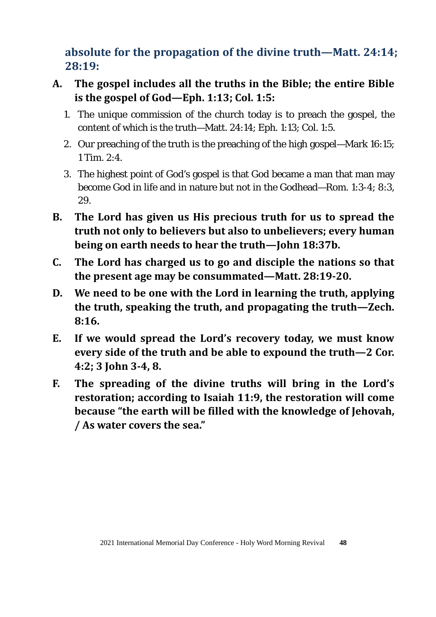**absolute for the propagation of the divine truth—Matt. 24:14; 28:19:** 

- **A. The gospel includes all the truths in the Bible; the entire Bible is the gospel of God—Eph. 1:13; Col. 1:5:** 
	- 1. The unique commission of the church today is to preach the gospel, the content of which is the truth—Matt. 24:14; Eph. 1:13; Col. 1:5.
	- 2. Our preaching of the truth is the preaching of the high gospel—Mark 16:15; 1 Tim. 2:4.
	- 3. The highest point of God's gospel is that God became a man that man may become God in life and in nature but not in the Godhead—Rom. 1:3-4; 8:3, 29.
- **B. The Lord has given us His precious truth for us to spread the truth not only to believers but also to unbelievers; every human being on earth needs to hear the truth—John 18:37b.**
- **C. The Lord has charged us to go and disciple the nations so that the present age may be consummated—Matt. 28:19-20.**
- **D. We need to be one with the Lord in learning the truth, applying the truth, speaking the truth, and propagating the truth—Zech. 8:16.**
- **E. If we would spread the Lord's recovery today, we must know every side of the truth and be able to expound the truth—2 Cor. 4:2; 3 John 3-4, 8.**
- **F. The spreading of the divine truths will bring in the Lord's restoration; according to Isaiah 11:9, the restoration will come because "the earth will be filled with the knowledge of Jehovah, / As water covers the sea."**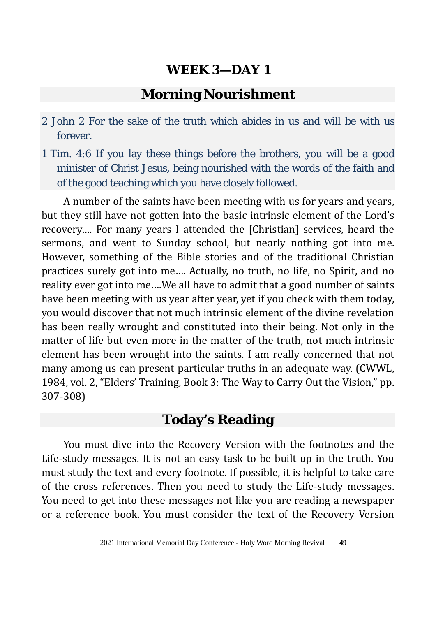#### **Morning Nourishment**

- 2 John 2 For the sake of the truth which abides in us and will be with us forever.
- 1 Tim. 4:6 If you lay these things before the brothers, you will be a good minister of Christ Jesus, being nourished with the words of the faith and of the good teaching which you have closely followed.

A number of the saints have been meeting with us for years and years, but they still have not gotten into the basic intrinsic element of the Lord's recovery…. For many years I attended the [Christian] services, heard the sermons, and went to Sunday school, but nearly nothing got into me. However, something of the Bible stories and of the traditional Christian practices surely got into me…. Actually, no truth, no life, no Spirit, and no reality ever got into me….We all have to admit that a good number of saints have been meeting with us year after year, yet if you check with them today, you would discover that not much intrinsic element of the divine revelation has been really wrought and constituted into their being. Not only in the matter of life but even more in the matter of the truth, not much intrinsic element has been wrought into the saints. I am really concerned that not many among us can present particular truths in an adequate way. (CWWL, 1984, vol. 2, "Elders' Training, Book 3: The Way to Carry Out the Vision," pp. 307-308)

#### **Today's Reading**

You must dive into the Recovery Version with the footnotes and the Life-study messages. It is not an easy task to be built up in the truth. You must study the text and every footnote. If possible, it is helpful to take care of the cross references. Then you need to study the Life-study messages. You need to get into these messages not like you are reading a newspaper or a reference book. You must consider the text of the Recovery Version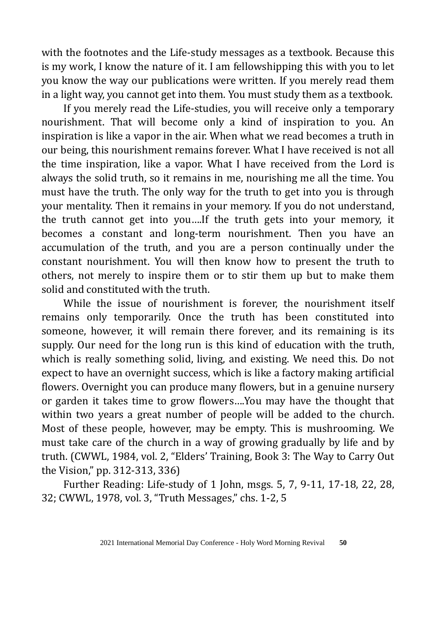with the footnotes and the Life-study messages as a textbook. Because this is my work, I know the nature of it. I am fellowshipping this with you to let you know the way our publications were written. If you merely read them in a light way, you cannot get into them. You must study them as a textbook.

If you merely read the Life-studies, you will receive only a temporary nourishment. That will become only a kind of inspiration to you. An inspiration is like a vapor in the air. When what we read becomes a truth in our being, this nourishment remains forever. What I have received is not all the time inspiration, like a vapor. What I have received from the Lord is always the solid truth, so it remains in me, nourishing me all the time. You must have the truth. The only way for the truth to get into you is through your mentality. Then it remains in your memory. If you do not understand, the truth cannot get into you….If the truth gets into your memory, it becomes a constant and long-term nourishment. Then you have an accumulation of the truth, and you are a person continually under the constant nourishment. You will then know how to present the truth to others, not merely to inspire them or to stir them up but to make them solid and constituted with the truth.

While the issue of nourishment is forever, the nourishment itself remains only temporarily. Once the truth has been constituted into someone, however, it will remain there forever, and its remaining is its supply. Our need for the long run is this kind of education with the truth, which is really something solid, living, and existing. We need this. Do not expect to have an overnight success, which is like a factory making artificial flowers. Overnight you can produce many flowers, but in a genuine nursery or garden it takes time to grow flowers….You may have the thought that within two years a great number of people will be added to the church. Most of these people, however, may be empty. This is mushrooming. We must take care of the church in a way of growing gradually by life and by truth. (CWWL, 1984, vol. 2, "Elders' Training, Book 3: The Way to Carry Out the Vision," pp. 312-313, 336)

Further Reading: Life-study of 1 John, msgs. 5, 7, 9-11, 17-18, 22, 28, 32; CWWL, 1978, vol. 3, "Truth Messages," chs. 1-2, 5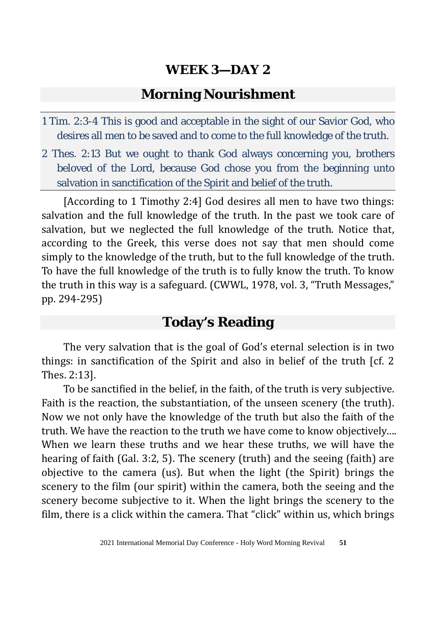#### **Morning Nourishment**

- 1 Tim. 2:3-4 This is good and acceptable in the sight of our Savior God, who desires all men to be saved and to come to the full knowledge of the truth.
- 2 Thes. 2:13 But we ought to thank God always concerning you, brothers beloved of the Lord, because God chose you from the beginning unto salvation in sanctification of the Spirit and belief of the truth.

[According to 1 Timothy 2:4] God desires all men to have two things: salvation and the full knowledge of the truth. In the past we took care of salvation, but we neglected the full knowledge of the truth. Notice that, according to the Greek, this verse does not say that men should come simply to the knowledge of the truth, but to the full knowledge of the truth. To have the full knowledge of the truth is to fully know the truth. To know the truth in this way is a safeguard. (CWWL, 1978, vol. 3, "Truth Messages," pp. 294-295)

#### **Today's Reading**

The very salvation that is the goal of God's eternal selection is in two things: in sanctification of the Spirit and also in belief of the truth [cf. 2 Thes. 2:13].

To be sanctified in the belief, in the faith, of the truth is very subjective. Faith is the reaction, the substantiation, of the unseen scenery (the truth). Now we not only have the knowledge of the truth but also the faith of the truth. We have the reaction to the truth we have come to know objectively…. When we learn these truths and we hear these truths, we will have the hearing of faith (Gal. 3:2, 5). The scenery (truth) and the seeing (faith) are objective to the camera (us). But when the light (the Spirit) brings the scenery to the film (our spirit) within the camera, both the seeing and the scenery become subjective to it. When the light brings the scenery to the film, there is a click within the camera. That "click" within us, which brings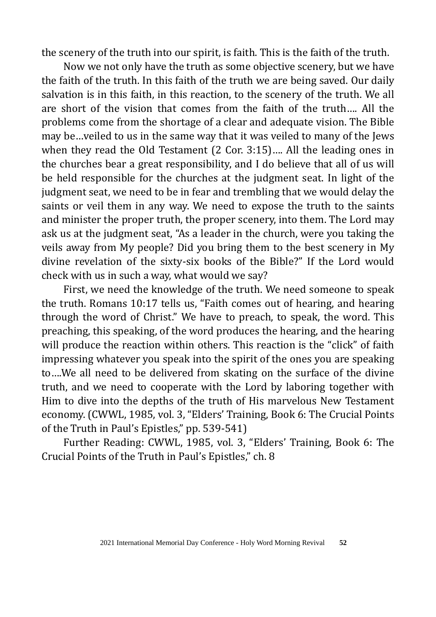the scenery of the truth into our spirit, is faith. This is the faith of the truth.

Now we not only have the truth as some objective scenery, but we have the faith of the truth. In this faith of the truth we are being saved. Our daily salvation is in this faith, in this reaction, to the scenery of the truth. We all are short of the vision that comes from the faith of the truth…. All the problems come from the shortage of a clear and adequate vision. The Bible may be…veiled to us in the same way that it was veiled to many of the Jews when they read the Old Testament (2 Cor. 3:15)…. All the leading ones in the churches bear a great responsibility, and I do believe that all of us will be held responsible for the churches at the judgment seat. In light of the judgment seat, we need to be in fear and trembling that we would delay the saints or veil them in any way. We need to expose the truth to the saints and minister the proper truth, the proper scenery, into them. The Lord may ask us at the judgment seat, "As a leader in the church, were you taking the veils away from My people? Did you bring them to the best scenery in My divine revelation of the sixty-six books of the Bible?" If the Lord would check with us in such a way, what would we say?

First, we need the knowledge of the truth. We need someone to speak the truth. Romans 10:17 tells us, "Faith comes out of hearing, and hearing through the word of Christ." We have to preach, to speak, the word. This preaching, this speaking, of the word produces the hearing, and the hearing will produce the reaction within others. This reaction is the "click" of faith impressing whatever you speak into the spirit of the ones you are speaking to….We all need to be delivered from skating on the surface of the divine truth, and we need to cooperate with the Lord by laboring together with Him to dive into the depths of the truth of His marvelous New Testament economy. (CWWL, 1985, vol. 3, "Elders' Training, Book 6: The Crucial Points of the Truth in Paul's Epistles," pp. 539-541)

Further Reading: CWWL, 1985, vol. 3, "Elders' Training, Book 6: The Crucial Points of the Truth in Paul's Epistles," ch. 8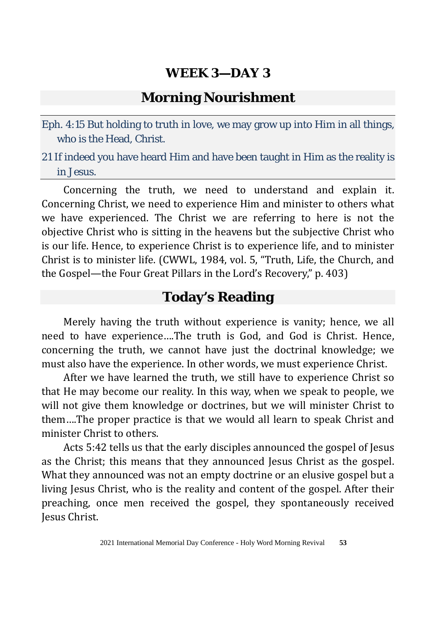#### **Morning Nourishment**

- Eph. 4:15 But holding to truth in love, we may grow up into Him in all things, who is the Head, Christ.
- 21 If indeed you have heard Him and have been taught in Him as the reality is in Jesus.

Concerning the truth, we need to understand and explain it. Concerning Christ, we need to experience Him and minister to others what we have experienced. The Christ we are referring to here is not the objective Christ who is sitting in the heavens but the subjective Christ who is our life. Hence, to experience Christ is to experience life, and to minister Christ is to minister life. (CWWL, 1984, vol. 5, "Truth, Life, the Church, and the Gospel—the Four Great Pillars in the Lord's Recovery," p. 403)

#### **Today's Reading**

Merely having the truth without experience is vanity; hence, we all need to have experience….The truth is God, and God is Christ. Hence, concerning the truth, we cannot have just the doctrinal knowledge; we must also have the experience. In other words, we must experience Christ.

After we have learned the truth, we still have to experience Christ so that He may become our reality. In this way, when we speak to people, we will not give them knowledge or doctrines, but we will minister Christ to them….The proper practice is that we would all learn to speak Christ and minister Christ to others.

Acts 5:42 tells us that the early disciples announced the gospel of Jesus as the Christ; this means that they announced Jesus Christ as the gospel. What they announced was not an empty doctrine or an elusive gospel but a living Jesus Christ, who is the reality and content of the gospel. After their preaching, once men received the gospel, they spontaneously received Jesus Christ.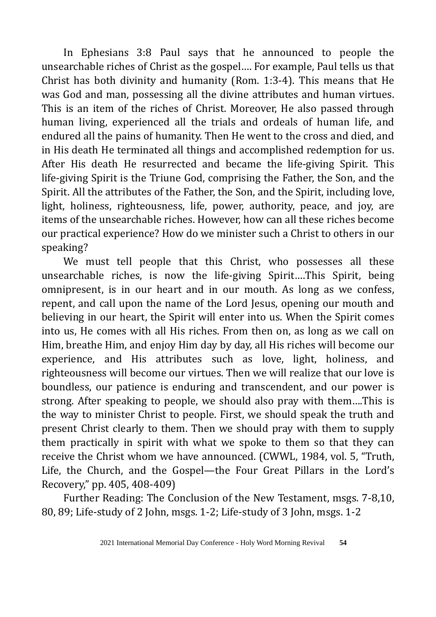In Ephesians 3:8 Paul says that he announced to people the unsearchable riches of Christ as the gospel…. For example, Paul tells us that Christ has both divinity and humanity (Rom. 1:3-4). This means that He was God and man, possessing all the divine attributes and human virtues. This is an item of the riches of Christ. Moreover, He also passed through human living, experienced all the trials and ordeals of human life, and endured all the pains of humanity. Then He went to the cross and died, and in His death He terminated all things and accomplished redemption for us. After His death He resurrected and became the life-giving Spirit. This life-giving Spirit is the Triune God, comprising the Father, the Son, and the Spirit. All the attributes of the Father, the Son, and the Spirit, including love, light, holiness, righteousness, life, power, authority, peace, and joy, are items of the unsearchable riches. However, how can all these riches become our practical experience? How do we minister such a Christ to others in our speaking?

We must tell people that this Christ, who possesses all these unsearchable riches, is now the life-giving Spirit….This Spirit, being omnipresent, is in our heart and in our mouth. As long as we confess, repent, and call upon the name of the Lord Jesus, opening our mouth and believing in our heart, the Spirit will enter into us. When the Spirit comes into us, He comes with all His riches. From then on, as long as we call on Him, breathe Him, and enjoy Him day by day, all His riches will become our experience, and His attributes such as love, light, holiness, and righteousness will become our virtues. Then we will realize that our love is boundless, our patience is enduring and transcendent, and our power is strong. After speaking to people, we should also pray with them….This is the way to minister Christ to people. First, we should speak the truth and present Christ clearly to them. Then we should pray with them to supply them practically in spirit with what we spoke to them so that they can receive the Christ whom we have announced. (CWWL, 1984, vol. 5, "Truth, Life, the Church, and the Gospel—the Four Great Pillars in the Lord's Recovery," pp. 405, 408-409)

Further Reading: The Conclusion of the New Testament, msgs. 7-8,10, 80, 89; Life-study of 2 John, msgs. 1-2; Life-study of 3 John, msgs. 1-2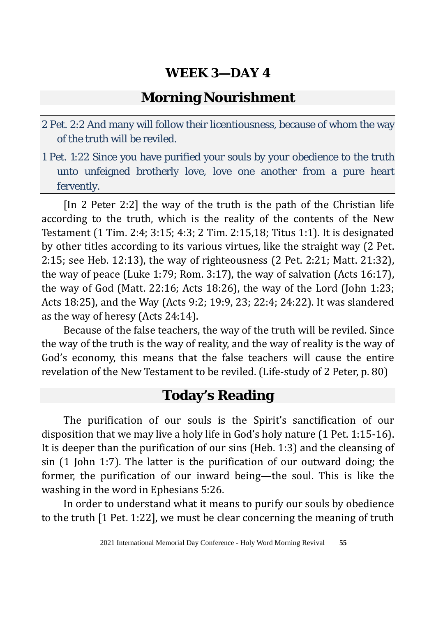#### **Morning Nourishment**

- 2 Pet. 2:2 And many will follow their licentiousness, because of whom the way of the truth will be reviled.
- 1 Pet. 1:22 Since you have purified your souls by your obedience to the truth unto unfeigned brotherly love, love one another from a pure heart fervently.

[In 2 Peter 2:2] the way of the truth is the path of the Christian life according to the truth, which is the reality of the contents of the New Testament (1 Tim. 2:4; 3:15; 4:3; 2 Tim. 2:15,18; Titus 1:1). It is designated by other titles according to its various virtues, like the straight way (2 Pet. 2:15; see Heb. 12:13), the way of righteousness (2 Pet. 2:21; Matt. 21:32), the way of peace (Luke 1:79; Rom. 3:17), the way of salvation (Acts 16:17), the way of God (Matt. 22:16; Acts 18:26), the way of the Lord (John 1:23; Acts 18:25), and the Way (Acts 9:2; 19:9, 23; 22:4; 24:22). It was slandered as the way of heresy (Acts 24:14).

Because of the false teachers, the way of the truth will be reviled. Since the way of the truth is the way of reality, and the way of reality is the way of God's economy, this means that the false teachers will cause the entire revelation of the New Testament to be reviled. (Life-study of 2 Peter, p. 80)

#### **Today's Reading**

The purification of our souls is the Spirit's sanctification of our disposition that we may live a holy life in God's holy nature (1 Pet. 1:15-16). It is deeper than the purification of our sins (Heb. 1:3) and the cleansing of sin (1 John 1:7). The latter is the purification of our outward doing; the former, the purification of our inward being—the soul. This is like the washing in the word in Ephesians 5:26.

In order to understand what it means to purify our souls by obedience to the truth [1 Pet. 1:22], we must be clear concerning the meaning of truth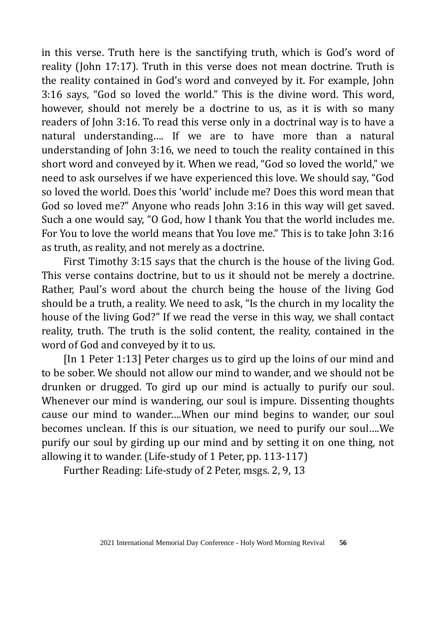in this verse. Truth here is the sanctifying truth, which is God's word of reality (John 17:17). Truth in this verse does not mean doctrine. Truth is the reality contained in God's word and conveyed by it. For example, John 3:16 says, "God so loved the world." This is the divine word. This word, however, should not merely be a doctrine to us, as it is with so many readers of John 3:16. To read this verse only in a doctrinal way is to have a natural understanding…. If we are to have more than a natural understanding of John 3:16, we need to touch the reality contained in this short word and conveyed by it. When we read, "God so loved the world," we need to ask ourselves if we have experienced this love. We should say, "God so loved the world. Does this 'world' include me? Does this word mean that God so loved me?" Anyone who reads John 3:16 in this way will get saved. Such a one would say, "O God, how I thank You that the world includes me. For You to love the world means that You love me." This is to take John 3:16 as truth, as reality, and not merely as a doctrine.

First Timothy 3:15 says that the church is the house of the living God. This verse contains doctrine, but to us it should not be merely a doctrine. Rather, Paul's word about the church being the house of the living God should be a truth, a reality. We need to ask, "Is the church in my locality the house of the living God?" If we read the verse in this way, we shall contact reality, truth. The truth is the solid content, the reality, contained in the word of God and conveyed by it to us.

[In 1 Peter 1:13] Peter charges us to gird up the loins of our mind and to be sober. We should not allow our mind to wander, and we should not be drunken or drugged. To gird up our mind is actually to purify our soul. Whenever our mind is wandering, our soul is impure. Dissenting thoughts cause our mind to wander….When our mind begins to wander, our soul becomes unclean. If this is our situation, we need to purify our soul….We purify our soul by girding up our mind and by setting it on one thing, not allowing it to wander. (Life-study of 1 Peter, pp. 113-117)

Further Reading: Life-study of 2 Peter, msgs. 2, 9, 13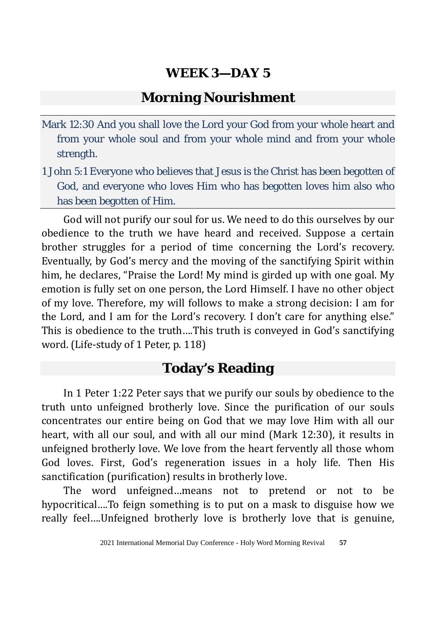### **Morning Nourishment**

- Mark 12:30 And you shall love the Lord your God from your whole heart and from your whole soul and from your whole mind and from your whole strength.
- 1 John 5:1 Everyone who believes that Jesus is the Christ has been begotten of God, and everyone who loves Him who has begotten loves him also who has been begotten of Him.

God will not purify our soul for us. We need to do this ourselves by our obedience to the truth we have heard and received. Suppose a certain brother struggles for a period of time concerning the Lord's recovery. Eventually, by God's mercy and the moving of the sanctifying Spirit within him, he declares, "Praise the Lord! My mind is girded up with one goal. My emotion is fully set on one person, the Lord Himself. I have no other object of my love. Therefore, my will follows to make a strong decision: I am for the Lord, and I am for the Lord's recovery. I don't care for anything else." This is obedience to the truth….This truth is conveyed in God's sanctifying word. (Life-study of 1 Peter, p. 118)

# **Today's Reading**

In 1 Peter 1:22 Peter says that we purify our souls by obedience to the truth unto unfeigned brotherly love. Since the purification of our souls concentrates our entire being on God that we may love Him with all our heart, with all our soul, and with all our mind (Mark 12:30), it results in unfeigned brotherly love. We love from the heart fervently all those whom God loves. First, God's regeneration issues in a holy life. Then His sanctification (purification) results in brotherly love.

The word unfeigned…means not to pretend or not to be hypocritical….To feign something is to put on a mask to disguise how we really feel….Unfeigned brotherly love is brotherly love that is genuine,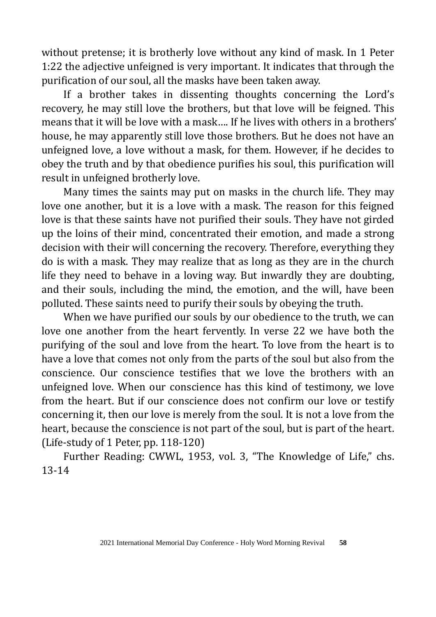without pretense; it is brotherly love without any kind of mask. In 1 Peter 1:22 the adjective unfeigned is very important. It indicates that through the purification of our soul, all the masks have been taken away.

If a brother takes in dissenting thoughts concerning the Lord's recovery, he may still love the brothers, but that love will be feigned. This means that it will be love with a mask…. If he lives with others in a brothers' house, he may apparently still love those brothers. But he does not have an unfeigned love, a love without a mask, for them. However, if he decides to obey the truth and by that obedience purifies his soul, this purification will result in unfeigned brotherly love.

Many times the saints may put on masks in the church life. They may love one another, but it is a love with a mask. The reason for this feigned love is that these saints have not purified their souls. They have not girded up the loins of their mind, concentrated their emotion, and made a strong decision with their will concerning the recovery. Therefore, everything they do is with a mask. They may realize that as long as they are in the church life they need to behave in a loving way. But inwardly they are doubting, and their souls, including the mind, the emotion, and the will, have been polluted. These saints need to purify their souls by obeying the truth.

When we have purified our souls by our obedience to the truth, we can love one another from the heart fervently. In verse 22 we have both the purifying of the soul and love from the heart. To love from the heart is to have a love that comes not only from the parts of the soul but also from the conscience. Our conscience testifies that we love the brothers with an unfeigned love. When our conscience has this kind of testimony, we love from the heart. But if our conscience does not confirm our love or testify concerning it, then our love is merely from the soul. It is not a love from the heart, because the conscience is not part of the soul, but is part of the heart. (Life-study of 1 Peter, pp. 118-120)

Further Reading: CWWL, 1953, vol. 3, "The Knowledge of Life," chs. 13-14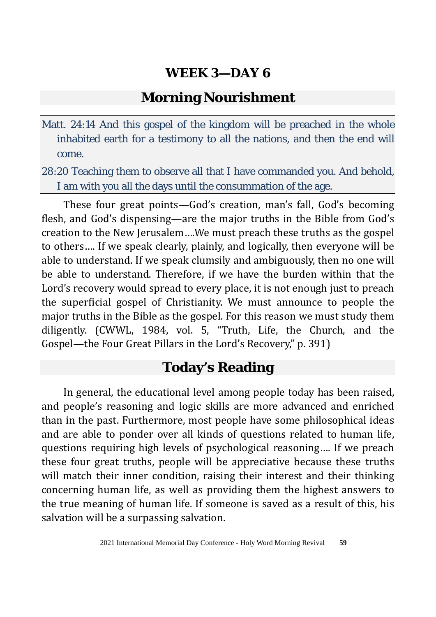#### **Morning Nourishment**

Matt. 24:14 And this gospel of the kingdom will be preached in the whole inhabited earth for a testimony to all the nations, and then the end will come.

28:20 Teaching them to observe all that I have commanded you. And behold, I am with you all the days until the consummation of the age.

These four great points—God's creation, man's fall, God's becoming flesh, and God's dispensing—are the major truths in the Bible from God's creation to the New Jerusalem….We must preach these truths as the gospel to others…. If we speak clearly, plainly, and logically, then everyone will be able to understand. If we speak clumsily and ambiguously, then no one will be able to understand. Therefore, if we have the burden within that the Lord's recovery would spread to every place, it is not enough just to preach the superficial gospel of Christianity. We must announce to people the major truths in the Bible as the gospel. For this reason we must study them diligently. (CWWL, 1984, vol. 5, "Truth, Life, the Church, and the Gospel—the Four Great Pillars in the Lord's Recovery," p. 391)

#### **Today's Reading**

In general, the educational level among people today has been raised, and people's reasoning and logic skills are more advanced and enriched than in the past. Furthermore, most people have some philosophical ideas and are able to ponder over all kinds of questions related to human life, questions requiring high levels of psychological reasoning…. If we preach these four great truths, people will be appreciative because these truths will match their inner condition, raising their interest and their thinking concerning human life, as well as providing them the highest answers to the true meaning of human life. If someone is saved as a result of this, his salvation will be a surpassing salvation.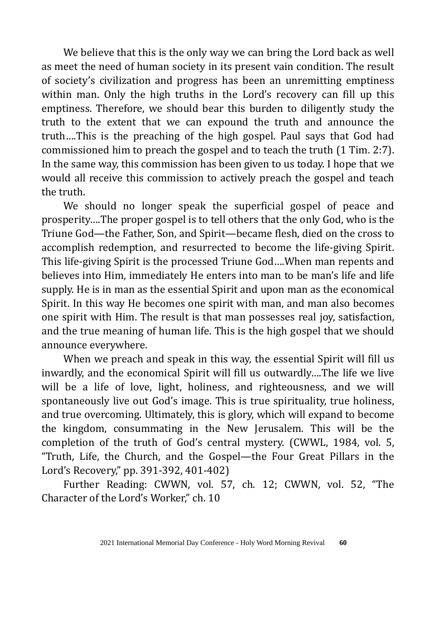We believe that this is the only way we can bring the Lord back as well as meet the need of human society in its present vain condition. The result of society's civilization and progress has been an unremitting emptiness within man. Only the high truths in the Lord's recovery can fill up this emptiness. Therefore, we should bear this burden to diligently study the truth to the extent that we can expound the truth and announce the truth….This is the preaching of the high gospel. Paul says that God had commissioned him to preach the gospel and to teach the truth (1 Tim. 2:7). In the same way, this commission has been given to us today. I hope that we would all receive this commission to actively preach the gospel and teach the truth.

We should no longer speak the superficial gospel of peace and prosperity….The proper gospel is to tell others that the only God, who is the Triune God—the Father, Son, and Spirit—became flesh, died on the cross to accomplish redemption, and resurrected to become the life-giving Spirit. This life-giving Spirit is the processed Triune God….When man repents and believes into Him, immediately He enters into man to be man's life and life supply. He is in man as the essential Spirit and upon man as the economical Spirit. In this way He becomes one spirit with man, and man also becomes one spirit with Him. The result is that man possesses real joy, satisfaction, and the true meaning of human life. This is the high gospel that we should announce everywhere.

When we preach and speak in this way, the essential Spirit will fill us inwardly, and the economical Spirit will fill us outwardly….The life we live will be a life of love, light, holiness, and righteousness, and we will spontaneously live out God's image. This is true spirituality, true holiness, and true overcoming. Ultimately, this is glory, which will expand to become the kingdom, consummating in the New Jerusalem. This will be the completion of the truth of God's central mystery. (CWWL, 1984, vol. 5, "Truth, Life, the Church, and the Gospel—the Four Great Pillars in the Lord's Recovery," pp. 391-392, 401-402)

Further Reading: CWWN, vol. 57, ch. 12; CWWN, vol. 52, "The Character of the Lord's Worker," ch. 10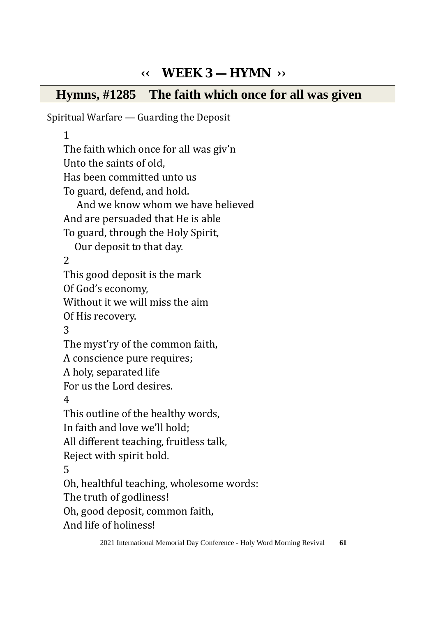# **‹‹ WEEK 3 — HYMN ››**

### **Hymns, #1285 The faith which once for all was given**

Spiritual Warfare — Guarding the Deposit 1 The faith which once for all was giv'n Unto the saints of old, Has been committed unto us To guard, defend, and hold. And we know whom we have believed And are persuaded that He is able To guard, through the Holy Spirit, Our deposit to that day. 2 This good deposit is the mark Of God's economy, Without it we will miss the aim Of His recovery. 3 The myst'ry of the common faith, A conscience pure requires; A holy, separated life For us the Lord desires. 4 This outline of the healthy words, In faith and love we'll hold; All different teaching, fruitless talk, Reject with spirit bold. 5 Oh, healthful teaching, wholesome words: The truth of godliness! Oh, good deposit, common faith, And life of holiness!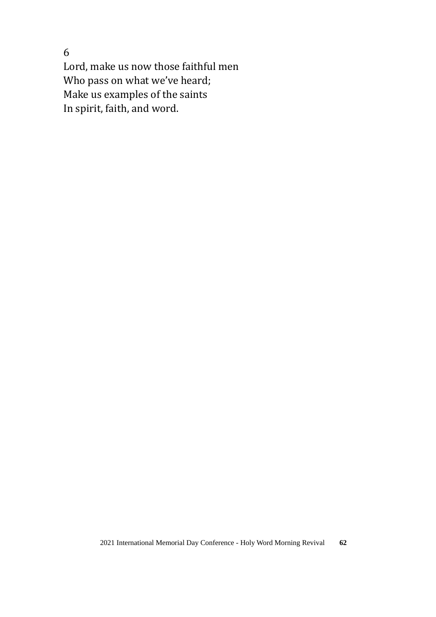6

Lord, make us now those faithful men Who pass on what we've heard; Make us examples of the saints In spirit, faith, and word.